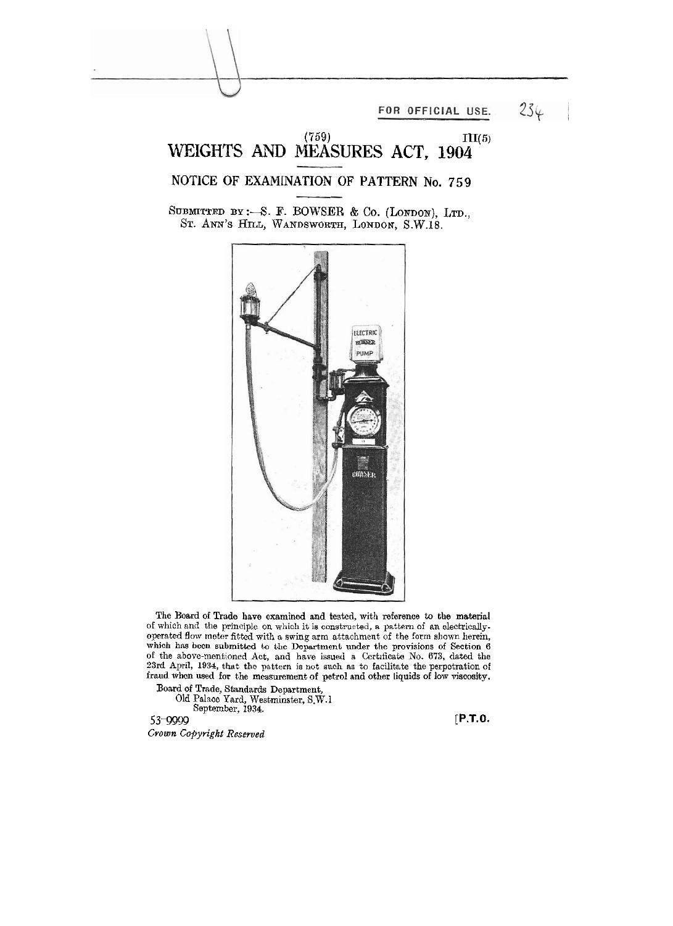FOR OFFICIAL USE.

 $234$ 

## WEIGHTS AND MEASURES ACT, 1904<sup>III(5)</sup>

**NOTICE OF EXAMINATION OF PATTERN No. 759** 

SUBMITTED BY :-S. F. BOWSER & Co. (LONDON), LTD., ST. ANN'S HILL, WANDSWORTH, LONDON, S.W.18.



The Board of Trade have examined and tested, with reference to the material of which and the principle **on** which it **ia** construoted, **n** pnttam **of** an electricallyoperated flow meter fitted with a swing arm attachment of the form shown herein, which has been submitted to the Department under the provisions of Section **6** of the above-mentioned Act, and have issued a Certificate No. 673, dated the 23rd April, 1934, that the pattern is not such as to facilitate the perpetration of fraud when used **for** the measurement of petrol and other liquids of low viscosity.

Board of Trade, Standards Department,

Old Palaoc Ynrd, Westminster, S.W.l Soptembcr, 1934.

**53-9999 [P.T.O.**  *Cvown Copyright Reserved*